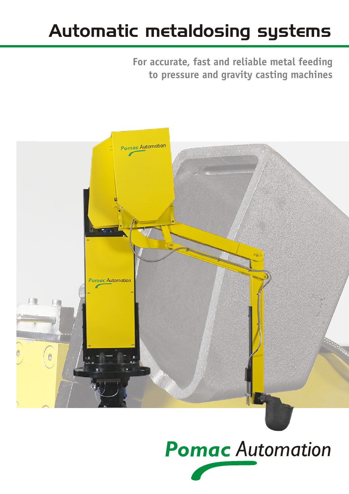## Automatic metaldosing systems

**For accurate, fast and reliable metal feeding to pressure and gravity casting machines** 



# *Pomac Automation*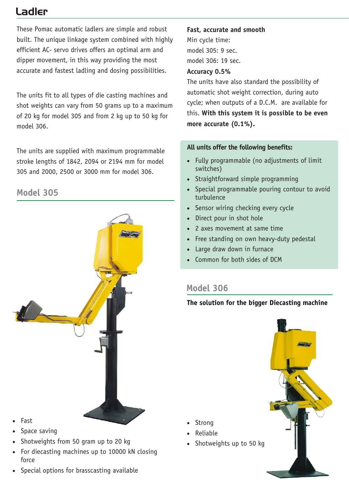## Ladler

These Pomac automatic ladlers are simple and robust built. The unique linkage system combined with highly efficient AC- servo drives offers an optimal arm and dipper movement, in this way providing the most accurate and fastest ladling and dosing possibilities.

The units fit to all types of die casting machines and shot weights can vary from 50 grams up to a maximum of 20 kg for model 305 and from 2 kg up to 50 kg for model 306.

The units are supplied with maximum programmable stroke lengths of 1842, 2094 or 2194 mm for model 305 and 2000, 2500 or 3000 mm for model 306.

## **Model 305**



- Fast
- Space saving
- Shotweights from 50 gram up to 20 kg
- For diecasting machines up to 10000 kN closing force
- Special options for brasscasting available

#### **Fast, accurate and smooth**

Min cycle time: model 305: 9 sec. model 306: 19 sec.

#### **Accuracy 0.5%**

The units have also standard the possibility of automatic shot weight correction, during auto cycle; when outputs of a D.C.M. are available for this. **With this system it is possible to be even more accurate (0.1%).**

#### **All units offer the following benefits:**

- Fully programmable (no adjustments of limit switches)
- Straightforward simple programming
- Special programmable pouring contour to avoid turbulence
- Sensor wiring checking every cycle
- Direct pour in shot hole
- 2 axes movement at same time
- Free standing on own heavy-duty pedestal
- Large draw down in furnace
- Common for both sides of DCM

## **Model 306**

 Strong Reliable

#### **The solution for the bigger Diecasting machine**

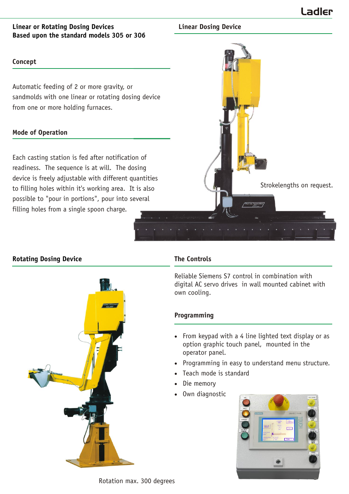#### **Linear or Rotating Dosing Devices Based upon the standard models 305 or 306**

#### **Concept**

Automatic feeding of 2 or more gravity, or sandmolds with one linear or rotating dosing device from one or more holding furnaces.

#### **Mode of Operation**

Each casting station is fed after notification of readiness. The sequence is at will. The dosing device is freely adjustable with different quantities to filling holes within it's working area. It is also possible to "pour in portions", pour into several filling holes from a single spoon charge.



**Linear Dosing Device**

#### **Rotating Dosing Device**



#### **The Controls**

Reliable Siemens S7 control in combination with digital AC servo drives in wall mounted cabinet with own cooling.

#### **Programming**

- From keypad with a 4 line lighted text display or as option graphic touch panel, mounted in the operator panel.
- Programming in easy to understand menu structure.
- Teach mode is standard
- Die memory
- Own diagnostic



Rotation max. 300 degrees